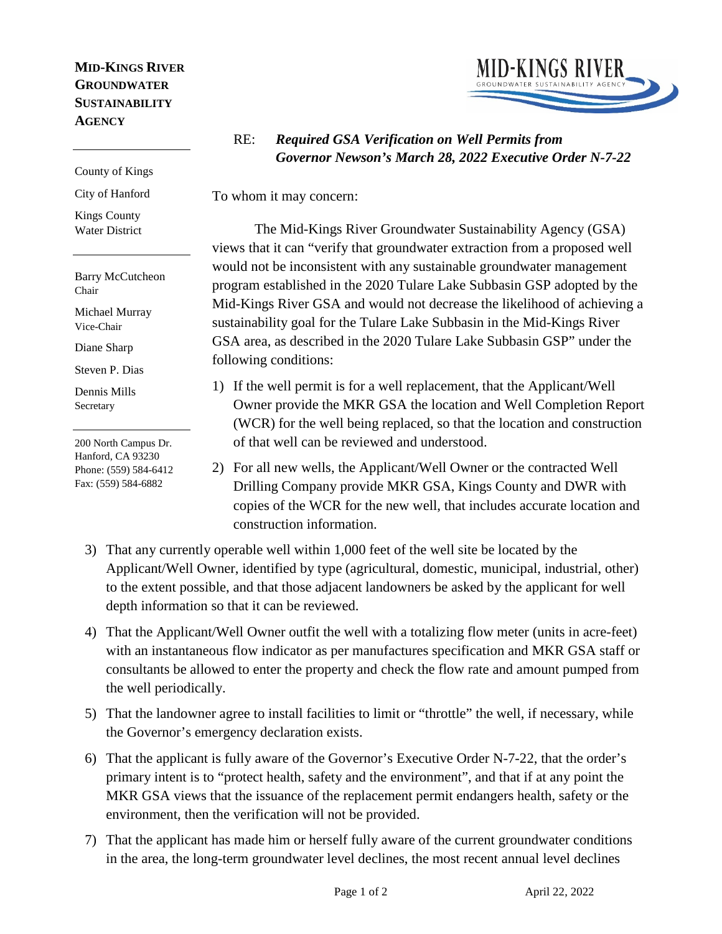## **MID-KINGS RIVER GROUNDWATER SUSTAINABILITY AGENCY**

#### County of Kings

City of Hanford

Kings County Water District

Barry McCutcheon Chair

Michael Murray Vice-Chair

Diane Sharp

Steven P. Dias

Dennis Mills Secretary

200 North Campus Dr. Hanford, CA 93230 Phone: (559) 584-6412 Fax: (559) 584-6882



# RE: *Required GSA Verification on Well Permits from Governor Newson's March 28, 2022 Executive Order N-7-22*

To whom it may concern:

The Mid-Kings River Groundwater Sustainability Agency (GSA) views that it can "verify that groundwater extraction from a proposed well would not be inconsistent with any sustainable groundwater management program established in the 2020 Tulare Lake Subbasin GSP adopted by the Mid-Kings River GSA and would not decrease the likelihood of achieving a sustainability goal for the Tulare Lake Subbasin in the Mid-Kings River GSA area, as described in the 2020 Tulare Lake Subbasin GSP" under the following conditions:

- 1) If the well permit is for a well replacement, that the Applicant/Well Owner provide the MKR GSA the location and Well Completion Report (WCR) for the well being replaced, so that the location and construction of that well can be reviewed and understood.
- 2) For all new wells, the Applicant/Well Owner or the contracted Well Drilling Company provide MKR GSA, Kings County and DWR with copies of the WCR for the new well, that includes accurate location and construction information.
- 3) That any currently operable well within 1,000 feet of the well site be located by the Applicant/Well Owner, identified by type (agricultural, domestic, municipal, industrial, other) to the extent possible, and that those adjacent landowners be asked by the applicant for well depth information so that it can be reviewed.
- 4) That the Applicant/Well Owner outfit the well with a totalizing flow meter (units in acre-feet) with an instantaneous flow indicator as per manufactures specification and MKR GSA staff or consultants be allowed to enter the property and check the flow rate and amount pumped from the well periodically.
- 5) That the landowner agree to install facilities to limit or "throttle" the well, if necessary, while the Governor's emergency declaration exists.
- 6) That the applicant is fully aware of the Governor's Executive Order N-7-22, that the order's primary intent is to "protect health, safety and the environment", and that if at any point the MKR GSA views that the issuance of the replacement permit endangers health, safety or the environment, then the verification will not be provided.
- 7) That the applicant has made him or herself fully aware of the current groundwater conditions in the area, the long-term groundwater level declines, the most recent annual level declines